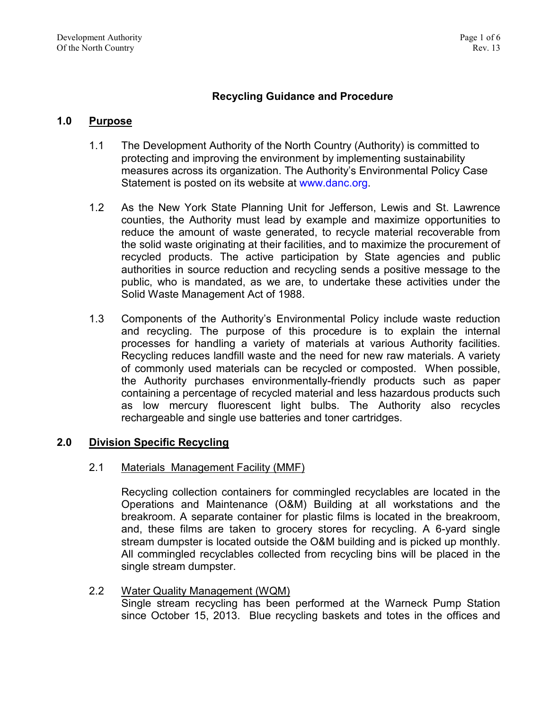# **Recycling Guidance and Procedure**

## **1.0 Purpose**

- 1.1 The Development Authority of the North Country (Authority) is committed to protecting and improving the environment by implementing sustainability measures across its organization. The Authority's Environmental Policy Case Statement is posted on its website at [www.danc.org.](http://www.danc.org/)
- 1.2 As the New York State Planning Unit for Jefferson, Lewis and St. Lawrence counties, the Authority must lead by example and maximize opportunities to reduce the amount of waste generated, to recycle material recoverable from the solid waste originating at their facilities, and to maximize the procurement of recycled products. The active participation by State agencies and public authorities in source reduction and recycling sends a positive message to the public, who is mandated, as we are, to undertake these activities under the Solid Waste Management Act of 1988.
- 1.3 Components of the Authority's Environmental Policy include waste reduction and recycling. The purpose of this procedure is to explain the internal processes for handling a variety of materials at various Authority facilities. Recycling reduces landfill waste and the need for new raw materials. A variety of commonly used materials can be recycled or composted. When possible, the Authority purchases environmentally-friendly products such as paper containing a percentage of recycled material and less hazardous products such as low mercury fluorescent light bulbs. The Authority also recycles rechargeable and single use batteries and toner cartridges.

# **2.0 Division Specific Recycling**

### 2.1 Materials Management Facility (MMF)

Recycling collection containers for commingled recyclables are located in the Operations and Maintenance (O&M) Building at all workstations and the breakroom. A separate container for plastic films is located in the breakroom, and, these films are taken to grocery stores for recycling. A 6-yard single stream dumpster is located outside the O&M building and is picked up monthly. All commingled recyclables collected from recycling bins will be placed in the single stream dumpster.

2.2 Water Quality Management (WQM) Single stream recycling has been performed at the Warneck Pump Station since October 15, 2013. Blue recycling baskets and totes in the offices and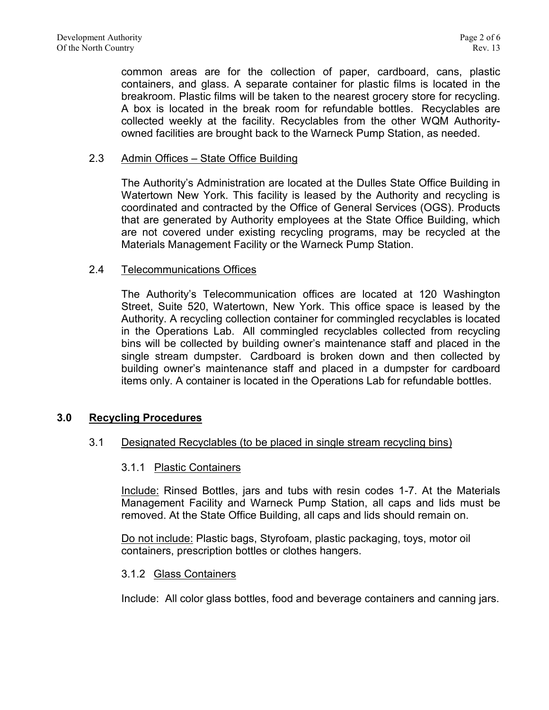common areas are for the collection of paper, cardboard, cans, plastic containers, and glass. A separate container for plastic films is located in the breakroom. Plastic films will be taken to the nearest grocery store for recycling. A box is located in the break room for refundable bottles. Recyclables are collected weekly at the facility. Recyclables from the other WQM Authorityowned facilities are brought back to the Warneck Pump Station, as needed.

## 2.3 Admin Offices – State Office Building

The Authority's Administration are located at the Dulles State Office Building in Watertown New York. This facility is leased by the Authority and recycling is coordinated and contracted by the Office of General Services (OGS). Products that are generated by Authority employees at the State Office Building, which are not covered under existing recycling programs, may be recycled at the Materials Management Facility or the Warneck Pump Station.

### 2.4 Telecommunications Offices

The Authority's Telecommunication offices are located at 120 Washington Street, Suite 520, Watertown, New York. This office space is leased by the Authority. A recycling collection container for commingled recyclables is located in the Operations Lab. All commingled recyclables collected from recycling bins will be collected by building owner's maintenance staff and placed in the single stream dumpster. Cardboard is broken down and then collected by building owner's maintenance staff and placed in a dumpster for cardboard items only. A container is located in the Operations Lab for refundable bottles.

# **3.0 Recycling Procedures**

# 3.1 Designated Recyclables (to be placed in single stream recycling bins)

### 3.1.1 Plastic Containers

Include: Rinsed Bottles, jars and tubs with resin codes 1-7. At the Materials Management Facility and Warneck Pump Station, all caps and lids must be removed. At the State Office Building, all caps and lids should remain on.

Do not include: Plastic bags, Styrofoam, plastic packaging, toys, motor oil containers, prescription bottles or clothes hangers.

### 3.1.2 Glass Containers

Include: All color glass bottles, food and beverage containers and canning jars.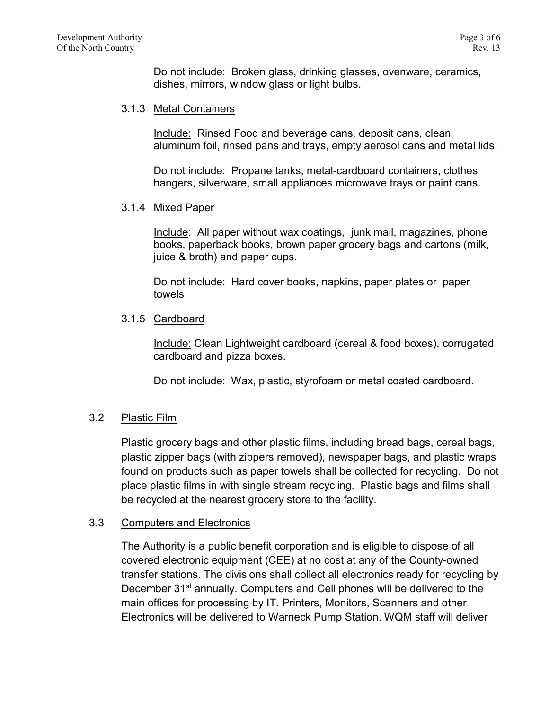Do not include: Broken glass, drinking glasses, ovenware, ceramics, dishes, mirrors, window glass or light bulbs.

## 3.1.3 Metal Containers

Include: Rinsed Food and beverage cans, deposit cans, clean aluminum foil, rinsed pans and trays, empty aerosol cans and metal lids.

Do not include: Propane tanks, metal-cardboard containers, clothes hangers, silverware, small appliances microwave trays or paint cans.

### 3.1.4 Mixed Paper

Include: All paper without wax coatings, junk mail, magazines, phone books, paperback books, brown paper grocery bags and cartons (milk, juice & broth) and paper cups.

Do not include: Hard cover books, napkins, paper plates or paper towels

# 3.1.5 Cardboard

Include: Clean Lightweight cardboard (cereal & food boxes), corrugated cardboard and pizza boxes.

Do not include: Wax, plastic, styrofoam or metal coated cardboard.

# 3.2 Plastic Film

Plastic grocery bags and other plastic films, including bread bags, cereal bags, plastic zipper bags (with zippers removed), newspaper bags, and plastic wraps found on products such as paper towels shall be collected for recycling. Do not place plastic films in with single stream recycling. Plastic bags and films shall be recycled at the nearest grocery store to the facility.

# 3.3 Computers and Electronics

The Authority is a public benefit corporation and is eligible to dispose of all covered electronic equipment (CEE) at no cost at any of the County-owned transfer stations. The divisions shall collect all electronics ready for recycling by December 31<sup>st</sup> annually. Computers and Cell phones will be delivered to the main offices for processing by IT. Printers, Monitors, Scanners and other Electronics will be delivered to Warneck Pump Station. WQM staff will deliver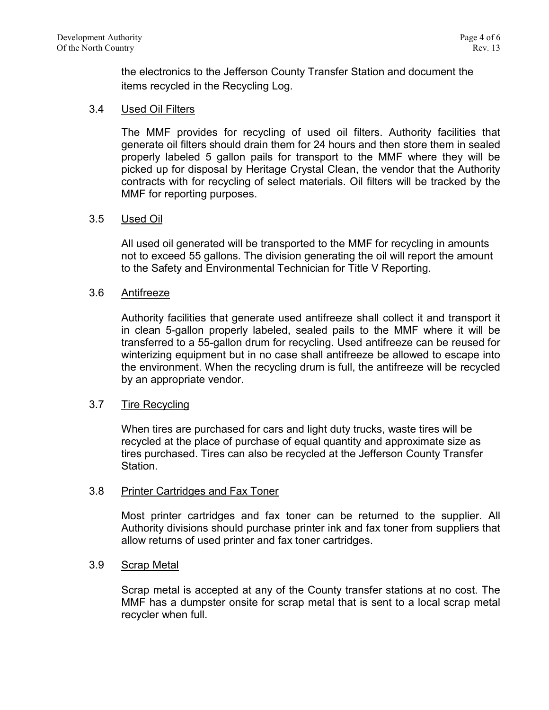the electronics to the Jefferson County Transfer Station and document the items recycled in the Recycling Log.

# 3.4 Used Oil Filters

The MMF provides for recycling of used oil filters. Authority facilities that generate oil filters should drain them for 24 hours and then store them in sealed properly labeled 5 gallon pails for transport to the MMF where they will be picked up for disposal by Heritage Crystal Clean, the vendor that the Authority contracts with for recycling of select materials. Oil filters will be tracked by the MMF for reporting purposes.

### 3.5 Used Oil

All used oil generated will be transported to the MMF for recycling in amounts not to exceed 55 gallons. The division generating the oil will report the amount to the Safety and Environmental Technician for Title V Reporting.

### 3.6 Antifreeze

Authority facilities that generate used antifreeze shall collect it and transport it in clean 5-gallon properly labeled, sealed pails to the MMF where it will be transferred to a 55-gallon drum for recycling. Used antifreeze can be reused for winterizing equipment but in no case shall antifreeze be allowed to escape into the environment. When the recycling drum is full, the antifreeze will be recycled by an appropriate vendor.

### 3.7 Tire Recycling

When tires are purchased for cars and light duty trucks, waste tires will be recycled at the place of purchase of equal quantity and approximate size as tires purchased. Tires can also be recycled at the Jefferson County Transfer Station.

### 3.8 Printer Cartridges and Fax Toner

Most printer cartridges and fax toner can be returned to the supplier. All Authority divisions should purchase printer ink and fax toner from suppliers that allow returns of used printer and fax toner cartridges.

### 3.9 Scrap Metal

Scrap metal is accepted at any of the County transfer stations at no cost. The MMF has a dumpster onsite for scrap metal that is sent to a local scrap metal recycler when full.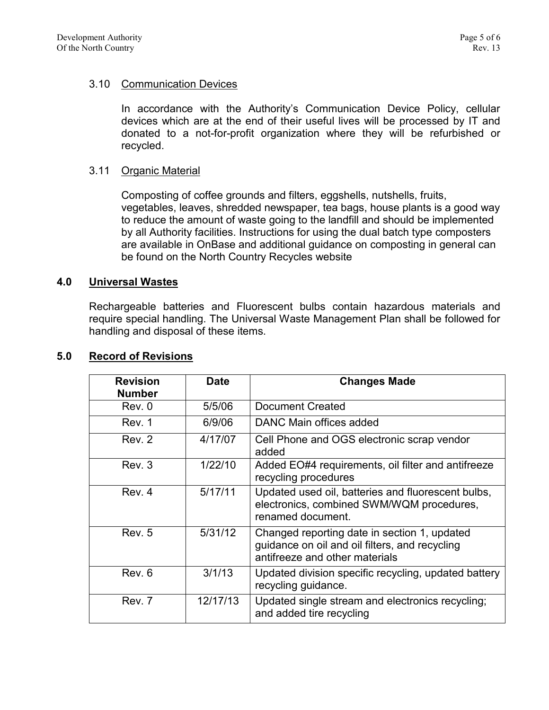# 3.10 Communication Devices

In accordance with the Authority's Communication Device Policy, cellular devices which are at the end of their useful lives will be processed by IT and donated to a not-for-profit organization where they will be refurbished or recycled.

## 3.11 Organic Material

Composting of coffee grounds and filters, eggshells, nutshells, fruits, vegetables, leaves, shredded newspaper, tea bags, house plants is a good way to reduce the amount of waste going to the landfill and should be implemented by all Authority facilities. Instructions for using the dual batch type composters are available in OnBase and additional guidance on composting in general can be found on the North Country Recycles website

### **4.0 Universal Wastes**

Rechargeable batteries and Fluorescent bulbs contain hazardous materials and require special handling. The Universal Waste Management Plan shall be followed for handling and disposal of these items.

| 5.0 | <b>Record of Revisions</b> |
|-----|----------------------------|
|     |                            |

| <b>Revision</b><br><b>Number</b> | <b>Date</b> | <b>Changes Made</b>                                                                                                              |
|----------------------------------|-------------|----------------------------------------------------------------------------------------------------------------------------------|
| Rev. 0                           | 5/5/06      | <b>Document Created</b>                                                                                                          |
| Rev. 1                           | 6/9/06      | DANC Main offices added                                                                                                          |
| Rev. 2                           | 4/17/07     | Cell Phone and OGS electronic scrap vendor<br>added                                                                              |
| Rev. 3                           | 1/22/10     | Added EO#4 requirements, oil filter and antifreeze<br>recycling procedures                                                       |
| Rev. 4                           | 5/17/11     | Updated used oil, batteries and fluorescent bulbs,<br>electronics, combined SWM/WQM procedures,<br>renamed document.             |
| Rev. 5                           | 5/31/12     | Changed reporting date in section 1, updated<br>guidance on oil and oil filters, and recycling<br>antifreeze and other materials |
| Rev. 6                           | 3/1/13      | Updated division specific recycling, updated battery<br>recycling guidance.                                                      |
| Rev. 7                           | 12/17/13    | Updated single stream and electronics recycling;<br>and added tire recycling                                                     |